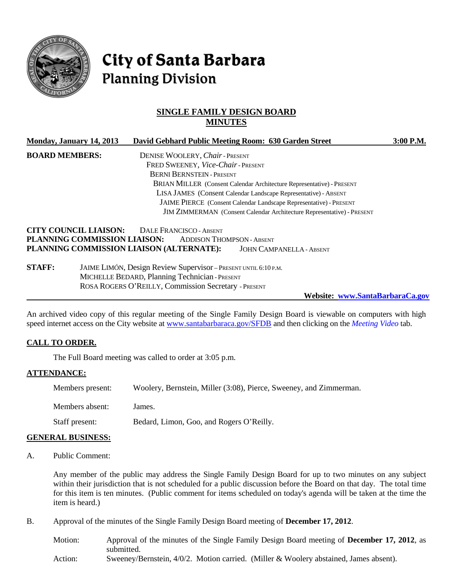

# **City of Santa Barbara Planning Division**

# **SINGLE FAMILY DESIGN BOARD MINUTES**

|                       | Monday, January 14, 2013                                     |                                                                                                                   | David Gebhard Public Meeting Room: 630 Garden Street                      | $3:00$ P.M. |
|-----------------------|--------------------------------------------------------------|-------------------------------------------------------------------------------------------------------------------|---------------------------------------------------------------------------|-------------|
| <b>BOARD MEMBERS:</b> |                                                              | DENISE WOOLERY, Chair - PRESENT                                                                                   |                                                                           |             |
|                       |                                                              | FRED SWEENEY, Vice-Chair-PRESENT                                                                                  |                                                                           |             |
|                       |                                                              | <b>BERNI BERNSTEIN - PRESENT</b>                                                                                  |                                                                           |             |
|                       |                                                              |                                                                                                                   | BRIAN MILLER (Consent Calendar Architecture Representative) - PRESENT     |             |
|                       |                                                              |                                                                                                                   | LISA JAMES (Consent Calendar Landscape Representative) - ABSENT           |             |
|                       |                                                              |                                                                                                                   | <b>JAIME PIERCE</b> (Consent Calendar Landscape Representative) - PRESENT |             |
|                       |                                                              |                                                                                                                   | JIM ZIMMERMAN (Consent Calendar Architecture Representative) - PRESENT    |             |
|                       | <b>CITY COUNCIL LIAISON:</b><br>PLANNING COMMISSION LIAISON: | <b>DALE FRANCISCO - ABSENT</b><br><b>ADDISON THOMPSON - ABSENT</b><br>PLANNING COMMISSION LIAISON (ALTERNATE):    | <b>JOHN CAMPANELLA - ABSENT</b>                                           |             |
| <b>STAFF:</b>         |                                                              | JAIME LIMÓN, Design Review Supervisor - PRESENT UNTIL 6:10 P.M.<br>MICHELLE BEDARD, Planning Technician - PRESENT |                                                                           |             |

**Website: www.SantaBarbaraCa.gov**

An archived video copy of this regular meeting of the Single Family Design Board is viewable on computers with high speed internet access on the City website at [www.santabarbaraca.gov/SFDB](http://www.santabarbaraca.gov/SFDB) and then clicking on the *Meeting Video* tab.

#### **CALL TO ORDER.**

The Full Board meeting was called to order at 3:05 p.m.

#### **ATTENDANCE:**

| Members present: | Woolery, Bernstein, Miller (3:08), Pierce, Sweeney, and Zimmerman. |
|------------------|--------------------------------------------------------------------|
| Members absent:  | James.                                                             |

Staff present: Bedard, Limon, Goo, and Rogers O'Reilly.

ROSA ROGERS O'REILLY, Commission Secretary - PRESENT

#### **GENERAL BUSINESS:**

A. Public Comment:

Any member of the public may address the Single Family Design Board for up to two minutes on any subject within their jurisdiction that is not scheduled for a public discussion before the Board on that day. The total time for this item is ten minutes. (Public comment for items scheduled on today's agenda will be taken at the time the item is heard.)

B. Approval of the minutes of the Single Family Design Board meeting of **December 17, 2012**.

| Motion: | Approval of the minutes of the Single Family Design Board meeting of December 17, 2012, as |
|---------|--------------------------------------------------------------------------------------------|
|         | submitted.                                                                                 |
| Action: | Sweeney/Bernstein, $4/0/2$ . Motion carried. (Miller & Woolery abstained, James absent).   |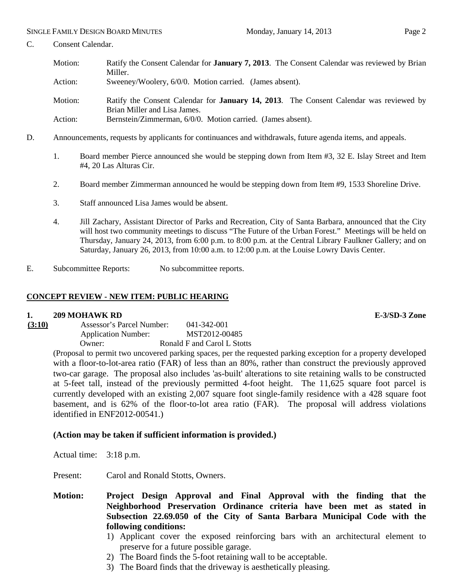C. Consent Calendar.

Action: Bernstein/Zimmerman, 6/0/0. Motion carried. (James absent).

- D. Announcements, requests by applicants for continuances and withdrawals, future agenda items, and appeals.
	- 1. Board member Pierce announced she would be stepping down from Item #3, 32 E. Islay Street and Item #4, 20 Las Alturas Cir.
	- 2. Board member Zimmerman announced he would be stepping down from Item #9, 1533 Shoreline Drive.
	- 3. Staff announced Lisa James would be absent.
	- 4. Jill Zachary, Assistant Director of Parks and Recreation, City of Santa Barbara, announced that the City will host two community meetings to discuss "The Future of the Urban Forest." Meetings will be held on Thursday, January 24, 2013, from 6:00 p.m. to 8:00 p.m. at the Central Library Faulkner Gallery; and on Saturday, January 26, 2013, from 10:00 a.m. to 12:00 p.m. at the Louise Lowry Davis Center.
- E. Subcommittee Reports: No subcommittee reports.

#### **CONCEPT REVIEW - NEW ITEM: PUBLIC HEARING**

#### **1. 209 MOHAWK RD E-3/SD-3 Zone**

**(3:10)** Assessor's Parcel Number: 041-342-001 Application Number: MST2012-00485 Owner: Ronald F and Carol L Stotts

> (Proposal to permit two uncovered parking spaces, per the requested parking exception for a property developed with a floor-to-lot-area ratio (FAR) of less than an 80%, rather than construct the previously approved two-car garage. The proposal also includes 'as-built' alterations to site retaining walls to be constructed at 5-feet tall, instead of the previously permitted 4-foot height. The 11,625 square foot parcel is currently developed with an existing 2,007 square foot single-family residence with a 428 square foot basement, and is 62% of the floor-to-lot area ratio (FAR). The proposal will address violations identified in ENF2012-00541.)

#### **(Action may be taken if sufficient information is provided.)**

Actual time: 3:18 p.m.

Present: Carol and Ronald Stotts, Owners.

**Motion: Project Design Approval and Final Approval with the finding that the Neighborhood Preservation Ordinance criteria have been met as stated in Subsection 22.69.050 of the City of Santa Barbara Municipal Code with the following conditions:**

- 1) Applicant cover the exposed reinforcing bars with an architectural element to preserve for a future possible garage.
- 2) The Board finds the 5-foot retaining wall to be acceptable.
- 3) The Board finds that the driveway is aesthetically pleasing.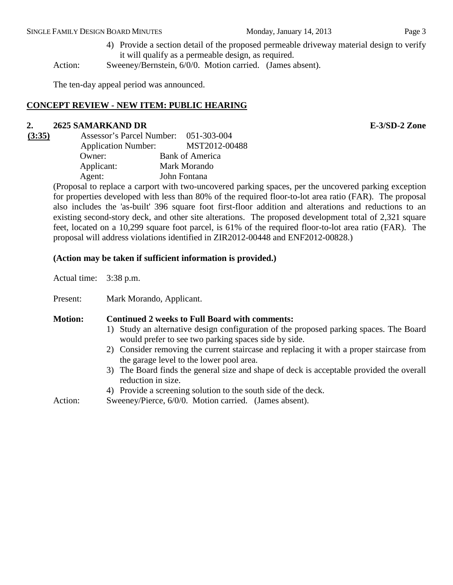4) Provide a section detail of the proposed permeable driveway material design to verify it will qualify as a permeable design, as required.

Action: Sweeney/Bernstein, 6/0/0. Motion carried. (James absent).

The ten-day appeal period was announced.

## **CONCEPT REVIEW - NEW ITEM: PUBLIC HEARING**

#### **2. 2625 SAMARKAND DR E-3/SD-2 Zone**

| Assessor's Parcel Number: 051-303-004 |                        |
|---------------------------------------|------------------------|
| <b>Application Number:</b>            | MST2012-00488          |
| Owner:                                | <b>Bank of America</b> |
| Applicant:                            | Mark Morando           |
| Agent:                                | John Fontana           |
|                                       |                        |

(Proposal to replace a carport with two-uncovered parking spaces, per the uncovered parking exception for properties developed with less than 80% of the required floor-to-lot area ratio (FAR). The proposal also includes the 'as-built' 396 square foot first-floor addition and alterations and reductions to an existing second-story deck, and other site alterations. The proposed development total of 2,321 square feet, located on a 10,299 square foot parcel, is 61% of the required floor-to-lot area ratio (FAR). The proposal will address violations identified in ZIR2012-00448 and ENF2012-00828.)

#### **(Action may be taken if sufficient information is provided.)**

Actual time: 3:38 p.m.

Present: Mark Morando, Applicant.

## **Motion: Continued 2 weeks to Full Board with comments:**

- 1) Study an alternative design configuration of the proposed parking spaces. The Board would prefer to see two parking spaces side by side.
- 2) Consider removing the current staircase and replacing it with a proper staircase from the garage level to the lower pool area.
- 3) The Board finds the general size and shape of deck is acceptable provided the overall reduction in size.
- 4) Provide a screening solution to the south side of the deck.

Action: Sweeney/Pierce, 6/0/0. Motion carried. (James absent).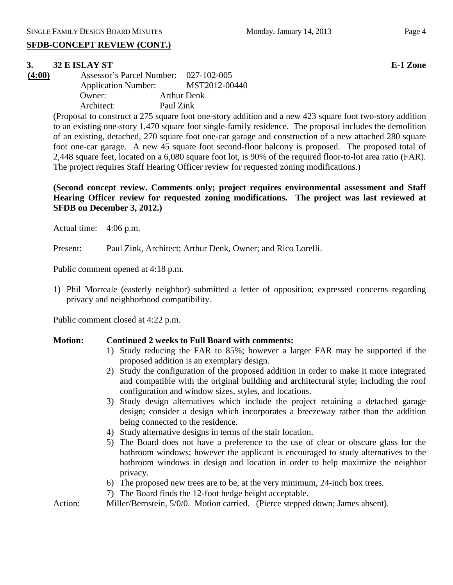## **SFDB-CONCEPT REVIEW (CONT.)**

## **3. 32 E ISLAY ST E-1 Zone**

**(4:00)** Assessor's Parcel Number: 027-102-005 Application Number: MST2012-00440 Owner: Arthur Denk Architect: Paul Zink

> (Proposal to construct a 275 square foot one-story addition and a new 423 square foot two-story addition to an existing one-story 1,470 square foot single-family residence. The proposal includes the demolition of an existing, detached, 270 square foot one-car garage and construction of a new attached 280 square foot one-car garage. A new 45 square foot second-floor balcony is proposed. The proposed total of 2,448 square feet, located on a 6,080 square foot lot, is 90% of the required floor-to-lot area ratio (FAR). The project requires Staff Hearing Officer review for requested zoning modifications.)

> **(Second concept review. Comments only; project requires environmental assessment and Staff Hearing Officer review for requested zoning modifications. The project was last reviewed at SFDB on December 3, 2012.)**

Actual time: 4:06 p.m.

Present: Paul Zink, Architect; Arthur Denk, Owner; and Rico Lorelli.

Public comment opened at 4:18 p.m.

1) Phil Morreale (easterly neighbor) submitted a letter of opposition; expressed concerns regarding privacy and neighborhood compatibility.

Public comment closed at 4:22 p.m.

#### **Motion: Continued 2 weeks to Full Board with comments:**

- 1) Study reducing the FAR to 85%; however a larger FAR may be supported if the proposed addition is an exemplary design.
- 2) Study the configuration of the proposed addition in order to make it more integrated and compatible with the original building and architectural style; including the roof configuration and window sizes, styles, and locations.
- 3) Study design alternatives which include the project retaining a detached garage design; consider a design which incorporates a breezeway rather than the addition being connected to the residence.
- 4) Study alternative designs in terms of the stair location.
- 5) The Board does not have a preference to the use of clear or obscure glass for the bathroom windows; however the applicant is encouraged to study alternatives to the bathroom windows in design and location in order to help maximize the neighbor privacy.
- 6) The proposed new trees are to be, at the very minimum, 24-inch box trees.
- 7) The Board finds the 12-foot hedge height acceptable.
- Action: Miller/Bernstein, 5/0/0. Motion carried. (Pierce stepped down; James absent).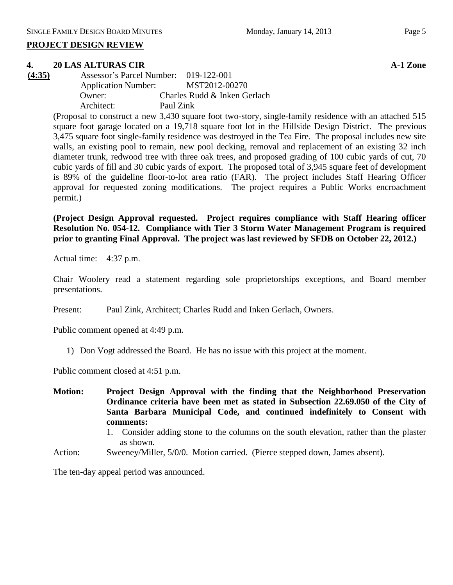#### **4. 20 LAS ALTURAS CIR A-1 Zone**

| (4:35) | Assessor's Parcel Number: 019-122-001 |                              |
|--------|---------------------------------------|------------------------------|
|        | <b>Application Number:</b>            | MST2012-00270                |
|        | Owner:                                | Charles Rudd & Inken Gerlach |
|        | Architect:                            | Paul Zink                    |

(Proposal to construct a new 3,430 square foot two-story, single-family residence with an attached 515 square foot garage located on a 19,718 square foot lot in the Hillside Design District. The previous 3,475 square foot single-family residence was destroyed in the Tea Fire. The proposal includes new site walls, an existing pool to remain, new pool decking, removal and replacement of an existing 32 inch diameter trunk, redwood tree with three oak trees, and proposed grading of 100 cubic yards of cut, 70 cubic yards of fill and 30 cubic yards of export. The proposed total of 3,945 square feet of development is 89% of the guideline floor-to-lot area ratio (FAR). The project includes Staff Hearing Officer approval for requested zoning modifications. The project requires a Public Works encroachment permit.)

**(Project Design Approval requested. Project requires compliance with Staff Hearing officer Resolution No. 054-12. Compliance with Tier 3 Storm Water Management Program is required prior to granting Final Approval. The project was last reviewed by SFDB on October 22, 2012.)**

Actual time: 4:37 p.m.

Chair Woolery read a statement regarding sole proprietorships exceptions, and Board member presentations.

Present: Paul Zink, Architect; Charles Rudd and Inken Gerlach, Owners.

Public comment opened at 4:49 p.m.

1) Don Vogt addressed the Board. He has no issue with this project at the moment.

Public comment closed at 4:51 p.m.

**Motion: Project Design Approval with the finding that the Neighborhood Preservation Ordinance criteria have been met as stated in Subsection 22.69.050 of the City of Santa Barbara Municipal Code, and continued indefinitely to Consent with comments:**

- 1. Consider adding stone to the columns on the south elevation, rather than the plaster as shown.
- Action: Sweeney/Miller, 5/0/0. Motion carried. (Pierce stepped down, James absent).

The ten-day appeal period was announced.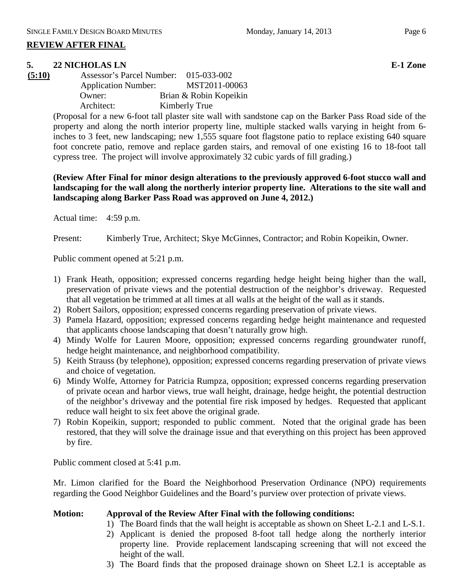## **REVIEW AFTER FINAL**

## **5. 22 NICHOLAS LN E-1 Zone**

| (5:10) | Assessor's Parcel Number:  | 015-033-002            |
|--------|----------------------------|------------------------|
|        | <b>Application Number:</b> | MST2011-00063          |
|        | Owner:                     | Brian & Robin Kopeikin |
|        | Architect:                 | Kimberly True          |

(Proposal for a new 6-foot tall plaster site wall with sandstone cap on the Barker Pass Road side of the property and along the north interior property line, multiple stacked walls varying in height from 6 inches to 3 feet, new landscaping; new 1,555 square foot flagstone patio to replace existing 640 square foot concrete patio, remove and replace garden stairs, and removal of one existing 16 to 18-foot tall cypress tree. The project will involve approximately 32 cubic yards of fill grading.)

## **(Review After Final for minor design alterations to the previously approved 6-foot stucco wall and landscaping for the wall along the northerly interior property line. Alterations to the site wall and landscaping along Barker Pass Road was approved on June 4, 2012.)**

Actual time: 4:59 p.m.

Present: Kimberly True, Architect; Skye McGinnes, Contractor; and Robin Kopeikin, Owner.

Public comment opened at 5:21 p.m.

- 1) Frank Heath, opposition; expressed concerns regarding hedge height being higher than the wall, preservation of private views and the potential destruction of the neighbor's driveway. Requested that all vegetation be trimmed at all times at all walls at the height of the wall as it stands.
- 2) Robert Sailors, opposition; expressed concerns regarding preservation of private views.
- 3) Pamela Hazard, opposition; expressed concerns regarding hedge height maintenance and requested that applicants choose landscaping that doesn't naturally grow high.
- 4) Mindy Wolfe for Lauren Moore, opposition; expressed concerns regarding groundwater runoff, hedge height maintenance, and neighborhood compatibility.
- 5) Keith Strauss (by telephone), opposition; expressed concerns regarding preservation of private views and choice of vegetation.
- 6) Mindy Wolfe, Attorney for Patricia Rumpza, opposition; expressed concerns regarding preservation of private ocean and harbor views, true wall height, drainage, hedge height, the potential destruction of the neighbor's driveway and the potential fire risk imposed by hedges. Requested that applicant reduce wall height to six feet above the original grade.
- 7) Robin Kopeikin, support; responded to public comment. Noted that the original grade has been restored, that they will solve the drainage issue and that everything on this project has been approved by fire.

Public comment closed at 5:41 p.m.

Mr. Limon clarified for the Board the Neighborhood Preservation Ordinance (NPO) requirements regarding the Good Neighbor Guidelines and the Board's purview over protection of private views.

#### **Motion: Approval of the Review After Final with the following conditions:**

- 1) The Board finds that the wall height is acceptable as shown on Sheet L-2.1 and L-S.1.
- 2) Applicant is denied the proposed 8-foot tall hedge along the northerly interior property line. Provide replacement landscaping screening that will not exceed the height of the wall.
- 3) The Board finds that the proposed drainage shown on Sheet L2.1 is acceptable as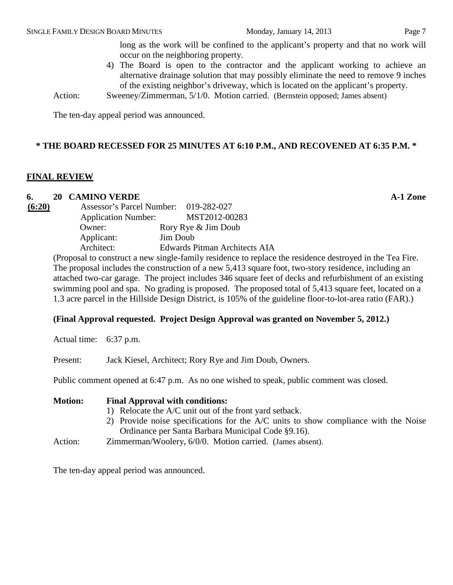long as the work will be confined to the applicant's property and that no work will occur on the neighboring property.

- 4) The Board is open to the contractor and the applicant working to achieve an alternative drainage solution that may possibly eliminate the need to remove 9 inches of the existing neighbor's driveway, which is located on the applicant's property.
- Action: Sweeney/Zimmerman, 5/1/0. Motion carried. (Bernstein opposed; James absent)

The ten-day appeal period was announced.

## **\* THE BOARD RECESSED FOR 25 MINUTES AT 6:10 P.M., AND RECOVENED AT 6:35 P.M. \***

#### **FINAL REVIEW**

#### **6. 20 CAMINO VERDE A-1 Zone**

| (6:20) | Assessor's Parcel Number: 019-282-027 |                               |
|--------|---------------------------------------|-------------------------------|
|        | <b>Application Number:</b>            | MST2012-00283                 |
|        | Owner:                                | Rory Rye & Jim Doub           |
|        | Applicant:                            | <b>Jim Doub</b>               |
|        | Architect:                            | Edwards Pitman Architects AIA |
|        |                                       |                               |

(Proposal to construct a new single-family residence to replace the residence destroyed in the Tea Fire. The proposal includes the construction of a new 5,413 square foot, two-story residence, including an attached two-car garage. The project includes 346 square feet of decks and refurbishment of an existing swimming pool and spa. No grading is proposed. The proposed total of 5,413 square feet, located on a 1.3 acre parcel in the Hillside Design District, is 105% of the guideline floor-to-lot-area ratio (FAR).)

#### **(Final Approval requested. Project Design Approval was granted on November 5, 2012.)**

Actual time: 6:37 p.m.

Present: Jack Kiesel, Architect; Rory Rye and Jim Doub, Owners.

Public comment opened at 6:47 p.m. As no one wished to speak, public comment was closed.

| <b>Motion:</b>                                                                      | <b>Final Approval with conditions:</b>                    |
|-------------------------------------------------------------------------------------|-----------------------------------------------------------|
|                                                                                     | 1) Relocate the A/C unit out of the front yard setback.   |
| 2) Provide noise specifications for the A/C units to show compliance with the Noise |                                                           |
|                                                                                     | Ordinance per Santa Barbara Municipal Code §9.16).        |
| Action:                                                                             | Zimmerman/Woolery, 6/0/0. Motion carried. (James absent). |

The ten-day appeal period was announced.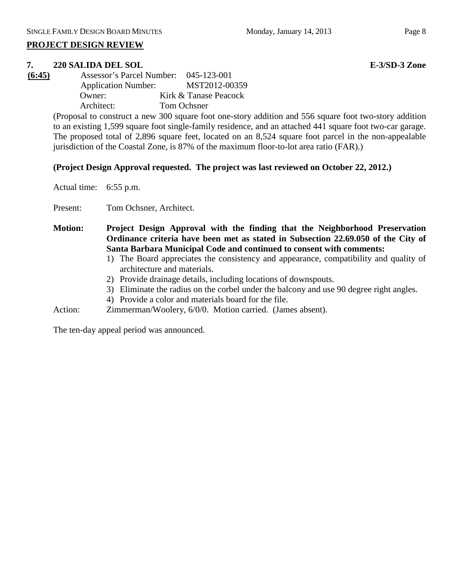# **PROJECT DESIGN REVIEW**

# **7. 220 SALIDA DEL SOL E-3/SD-3 Zone**

**(6:45)** Assessor's Parcel Number: 045-123-001 Application Number: MST2012-00359 Owner: Kirk & Tanase Peacock Architect: Tom Ochsner

(Proposal to construct a new 300 square foot one-story addition and 556 square foot two-story addition to an existing 1,599 square foot single-family residence, and an attached 441 square foot two-car garage. The proposed total of 2,896 square feet, located on an 8,524 square foot parcel in the non-appealable jurisdiction of the Coastal Zone, is 87% of the maximum floor-to-lot area ratio (FAR).)

# **(Project Design Approval requested. The project was last reviewed on October 22, 2012.)**

Actual time: 6:55 p.m.

Present: Tom Ochsner, Architect.

**Motion: Project Design Approval with the finding that the Neighborhood Preservation Ordinance criteria have been met as stated in Subsection 22.69.050 of the City of Santa Barbara Municipal Code and continued to consent with comments:**

- 1) The Board appreciates the consistency and appearance, compatibility and quality of architecture and materials.
- 2) Provide drainage details, including locations of downspouts.
- 3) Eliminate the radius on the corbel under the balcony and use 90 degree right angles.
- 4) Provide a color and materials board for the file.
- Action: Zimmerman/Woolery, 6/0/0. Motion carried. (James absent).

The ten-day appeal period was announced.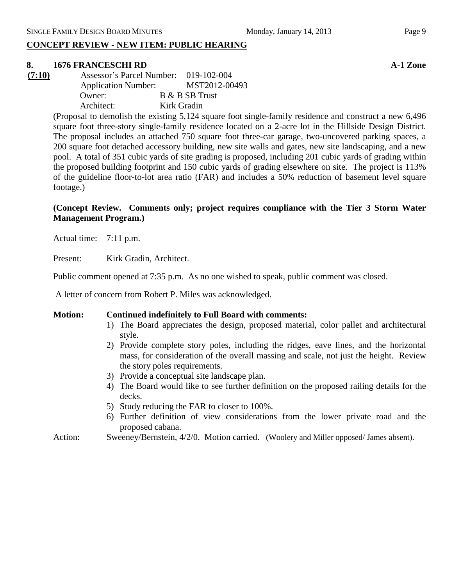## **CONCEPT REVIEW - NEW ITEM: PUBLIC HEARING**

# **8. 1676 FRANCESCHI RD A-1 Zone**

**(7:10)** Assessor's Parcel Number: 019-102-004 Application Number: MST2012-00493 Owner: B & B SB Trust Architect: Kirk Gradin

> (Proposal to demolish the existing 5,124 square foot single-family residence and construct a new 6,496 square foot three-story single-family residence located on a 2-acre lot in the Hillside Design District. The proposal includes an attached 750 square foot three-car garage, two-uncovered parking spaces, a 200 square foot detached accessory building, new site walls and gates, new site landscaping, and a new pool. A total of 351 cubic yards of site grading is proposed, including 201 cubic yards of grading within the proposed building footprint and 150 cubic yards of grading elsewhere on site. The project is 113% of the guideline floor-to-lot area ratio (FAR) and includes a 50% reduction of basement level square footage.)

## **(Concept Review. Comments only; project requires compliance with the Tier 3 Storm Water Management Program.)**

Actual time: 7:11 p.m.

Present: Kirk Gradin, Architect.

Public comment opened at 7:35 p.m. As no one wished to speak, public comment was closed.

A letter of concern from Robert P. Miles was acknowledged.

#### **Motion: Continued indefinitely to Full Board with comments:**

- 1) The Board appreciates the design, proposed material, color pallet and architectural style.
- 2) Provide complete story poles, including the ridges, eave lines, and the horizontal mass, for consideration of the overall massing and scale, not just the height. Review the story poles requirements.
- 3) Provide a conceptual site landscape plan.
- 4) The Board would like to see further definition on the proposed railing details for the decks.
- 5) Study reducing the FAR to closer to 100%.
- 6) Further definition of view considerations from the lower private road and the proposed cabana.
- Action: Sweeney/Bernstein, 4/2/0. Motion carried. (Woolery and Miller opposed/ James absent).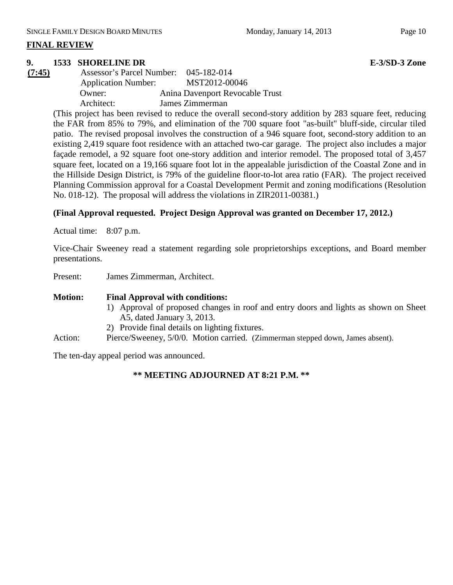## **FINAL REVIEW**

#### **9. 1533 SHORELINE DR E-3/SD-3 Zone**

**(7:45)** Assessor's Parcel Number: 045-182-014 Application Number: MST2012-00046 Owner: Anina Davenport Revocable Trust Architect: James Zimmerman

(This project has been revised to reduce the overall second-story addition by 283 square feet, reducing the FAR from 85% to 79%, and elimination of the 700 square foot "as-built" bluff-side, circular tiled patio. The revised proposal involves the construction of a 946 square foot, second-story addition to an existing 2,419 square foot residence with an attached two-car garage. The project also includes a major façade remodel, a 92 square foot one-story addition and interior remodel. The proposed total of 3,457 square feet, located on a 19,166 square foot lot in the appealable jurisdiction of the Coastal Zone and in the Hillside Design District, is 79% of the guideline floor-to-lot area ratio (FAR). The project received Planning Commission approval for a Coastal Development Permit and zoning modifications (Resolution No. 018-12). The proposal will address the violations in ZIR2011-00381.)

#### **(Final Approval requested. Project Design Approval was granted on December 17, 2012.)**

Actual time: 8:07 p.m.

Vice-Chair Sweeney read a statement regarding sole proprietorships exceptions, and Board member presentations.

Present: James Zimmerman, Architect.

#### **Motion: Final Approval with conditions:**

- 1) Approval of proposed changes in roof and entry doors and lights as shown on Sheet A5, dated January 3, 2013.
- 2) Provide final details on lighting fixtures.
- Action: Pierce/Sweeney, 5/0/0. Motion carried. (Zimmerman stepped down, James absent).

The ten-day appeal period was announced.

#### **\*\* MEETING ADJOURNED AT 8:21 P.M. \*\***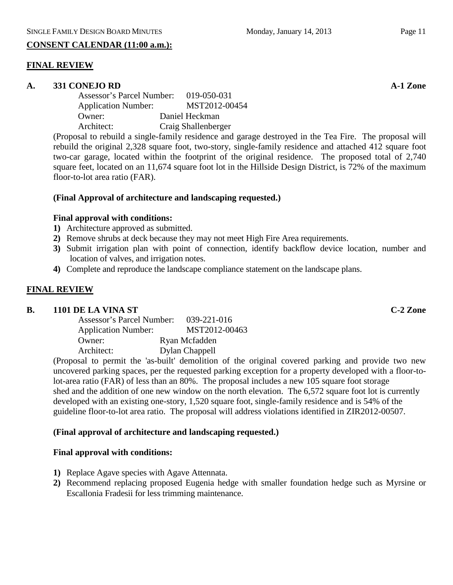## **CONSENT CALENDAR (11:00 a.m.):**

## **FINAL REVIEW**

#### **A. 331 CONEJO RD A-1 Zone**

| <b>Assessor's Parcel Number:</b> | 019-050-031         |
|----------------------------------|---------------------|
| <b>Application Number:</b>       | MST2012-00454       |
| Owner:                           | Daniel Heckman      |
| Architect:                       | Craig Shallenberger |
|                                  |                     |

(Proposal to rebuild a single-family residence and garage destroyed in the Tea Fire. The proposal will rebuild the original 2,328 square foot, two-story, single-family residence and attached 412 square foot two-car garage, located within the footprint of the original residence. The proposed total of 2,740 square feet, located on an 11,674 square foot lot in the Hillside Design District, is 72% of the maximum floor-to-lot area ratio (FAR).

#### **(Final Approval of architecture and landscaping requested.)**

## **Final approval with conditions:**

- **1)** Architecture approved as submitted.
- **2)** Remove shrubs at deck because they may not meet High Fire Area requirements.
- **3)** Submit irrigation plan with point of connection, identify backflow device location, number and location of valves, and irrigation notes.
- **4)** Complete and reproduce the landscape compliance statement on the landscape plans.

## **FINAL REVIEW**

#### **B. 1101 DE LA VINA ST C-2 Zone**

| Assessor's Parcel Number:  | 039-221-016    |
|----------------------------|----------------|
| <b>Application Number:</b> | MST2012-00463  |
| Owner:                     | Ryan Mcfadden  |
| Architect:                 | Dylan Chappell |

(Proposal to permit the 'as-built' demolition of the original covered parking and provide two new uncovered parking spaces, per the requested parking exception for a property developed with a floor-tolot-area ratio (FAR) of less than an 80%. The proposal includes a new 105 square foot storage shed and the addition of one new window on the north elevation. The 6,572 square foot lot is currently developed with an existing one-story, 1,520 square foot, single-family residence and is 54% of the guideline floor-to-lot area ratio. The proposal will address violations identified in ZIR2012-00507.

#### **(Final approval of architecture and landscaping requested.)**

#### **Final approval with conditions:**

- **1)** Replace Agave species with Agave Attennata.
- **2)** Recommend replacing proposed Eugenia hedge with smaller foundation hedge such as Myrsine or Escallonia Fradesii for less trimming maintenance.